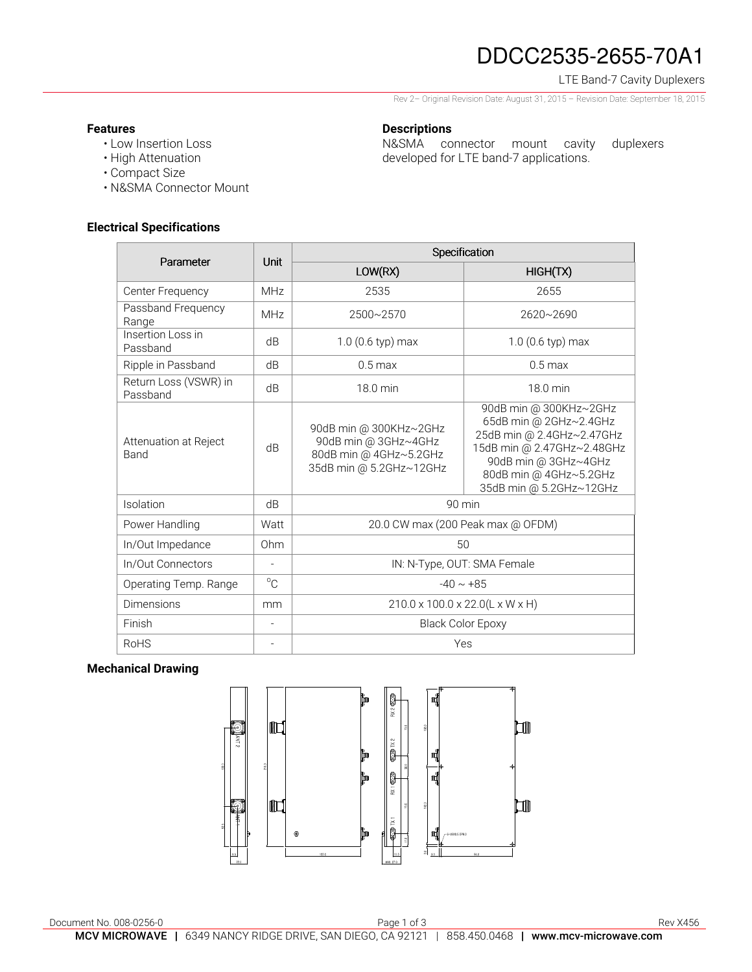# DDCC2535-2655-70A1

# LTE Band-7 Cavity Duplexers

Rev 2– Original Revision Date: August 31, 2015 – Revision Date: September 18, 2015

N&SMA connector mount cavity duplexers

developed for LTE band-7 applications.

### **Features**

- Low Insertion Loss
- High Attenuation
- Compact Size
- N&SMA Connector Mount

## **Electrical Specifications**

| Parameter                         | Unit                     | Specification                                                                                       |                                                                                                                                                                                          |
|-----------------------------------|--------------------------|-----------------------------------------------------------------------------------------------------|------------------------------------------------------------------------------------------------------------------------------------------------------------------------------------------|
|                                   |                          | LOW(RX)                                                                                             | HIGH(TX)                                                                                                                                                                                 |
| Center Frequency                  | <b>MHz</b>               | 2535                                                                                                | 2655                                                                                                                                                                                     |
| Passband Frequency<br>Range       | MHz                      | 2500~2570                                                                                           | 2620~2690                                                                                                                                                                                |
| Insertion Loss in<br>Passband     | dB                       | $1.0$ (0.6 typ) max                                                                                 | $1.0$ (0.6 typ) max                                                                                                                                                                      |
| Ripple in Passband                | dB                       | $0.5$ max                                                                                           | $0.5$ max                                                                                                                                                                                |
| Return Loss (VSWR) in<br>Passband | dB                       | 18.0 min                                                                                            | 18.0 min                                                                                                                                                                                 |
| Attenuation at Reject<br>Band     | dB                       | 90dB min @ 300KHz~2GHz<br>90dB min @ 3GHz~4GHz<br>80dB min @ 4GHz~5.2GHz<br>35dB min @ 5.2GHz~12GHz | 90dB min @ 300KHz~2GHz<br>65dB min @ 2GHz~2.4GHz<br>25dB min @ 2.4GHz~2.47GHz<br>15dB min @ 2.47GHz~2.48GHz<br>90dB min @ 3GHz~4GHz<br>80dB min @ 4GHz~5.2GHz<br>35dB min @ 5.2GHz~12GHz |
| Isolation                         | dB                       | $90$ min                                                                                            |                                                                                                                                                                                          |
| Power Handling                    | Watt                     | 20.0 CW max (200 Peak max @ OFDM)                                                                   |                                                                                                                                                                                          |
| In/Out Impedance                  | Ohm                      | 50                                                                                                  |                                                                                                                                                                                          |
| In/Out Connectors                 |                          | IN: N-Type, OUT: SMA Female                                                                         |                                                                                                                                                                                          |
| Operating Temp. Range             | $^{\circ}C$              | $-40 \sim +85$                                                                                      |                                                                                                                                                                                          |
| Dimensions                        | mm                       | 210.0 x 100.0 x 22.0(L x W x H)                                                                     |                                                                                                                                                                                          |
| Finish                            | $\overline{\phantom{a}}$ | <b>Black Color Epoxy</b>                                                                            |                                                                                                                                                                                          |
| <b>RoHS</b>                       | $\overline{\phantom{0}}$ | Yes                                                                                                 |                                                                                                                                                                                          |

**Descriptions** 

### **Mechanical Drawing**

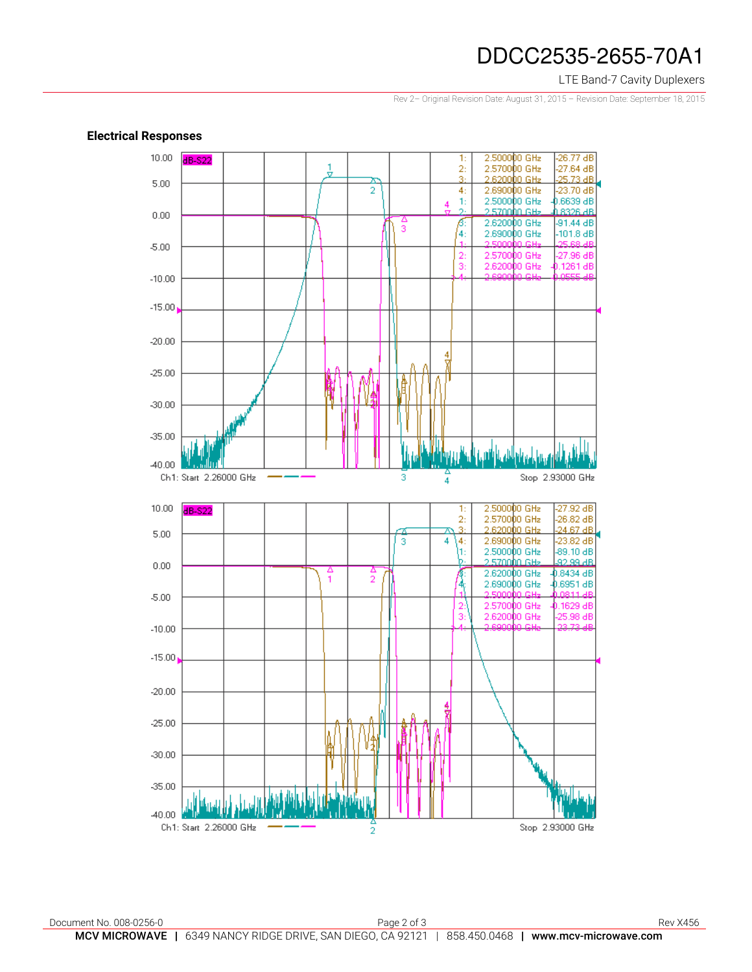# DDCC2535-2655-70A1

### LTE Band-7 Cavity Duplexers

Rev 2– Original Revision Date: August 31, 2015 – Revision Date: September 18, 2015



#### **Electrical Responses**